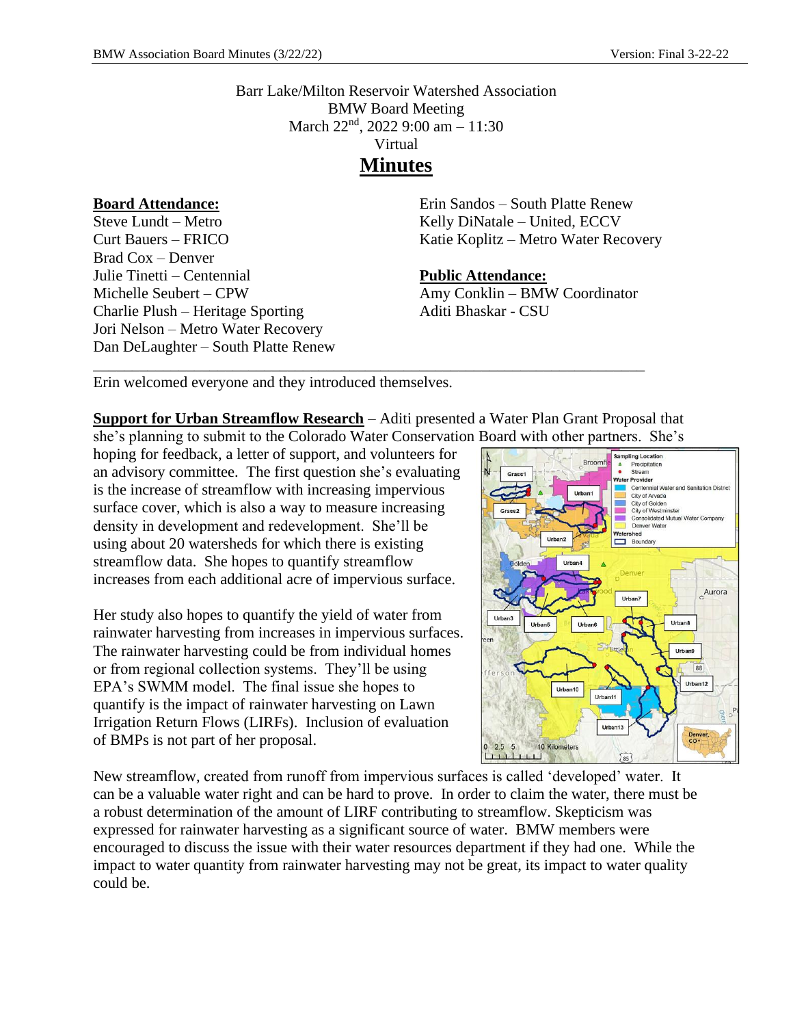Barr Lake/Milton Reservoir Watershed Association BMW Board Meeting March 22<sup>nd</sup>, 2022 9:00 am - 11:30 Virtual **Minutes**

#### **Board Attendance:**

Steve Lundt – Metro Curt Bauers – FRICO Brad Cox – Denver Julie Tinetti – Centennial Michelle Seubert – CPW Charlie Plush – Heritage Sporting Jori Nelson – Metro Water Recovery Dan DeLaughter – South Platte Renew Erin Sandos – South Platte Renew Kelly DiNatale – United, ECCV Katie Koplitz – Metro Water Recovery

#### **Public Attendance:**

Amy Conklin – BMW Coordinator Aditi Bhaskar - CSU

Erin welcomed everyone and they introduced themselves.

**Support for Urban Streamflow Research** – Aditi presented a Water Plan Grant Proposal that she's planning to submit to the Colorado Water Conservation Board with other partners. She's

\_\_\_\_\_\_\_\_\_\_\_\_\_\_\_\_\_\_\_\_\_\_\_\_\_\_\_\_\_\_\_\_\_\_\_\_\_\_\_\_\_\_\_\_\_\_\_\_\_\_\_\_\_\_\_\_\_\_\_\_\_\_\_\_\_\_\_\_\_\_\_

hoping for feedback, a letter of support, and volunteers for an advisory committee. The first question she's evaluating is the increase of streamflow with increasing impervious surface cover, which is also a way to measure increasing density in development and redevelopment. She'll be using about 20 watersheds for which there is existing streamflow data. She hopes to quantify streamflow increases from each additional acre of impervious surface.

Her study also hopes to quantify the yield of water from rainwater harvesting from increases in impervious surfaces. The rainwater harvesting could be from individual homes or from regional collection systems. They'll be using EPA's SWMM model. The final issue she hopes to quantify is the impact of rainwater harvesting on Lawn Irrigation Return Flows (LIRFs). Inclusion of evaluation of BMPs is not part of her proposal.



New streamflow, created from runoff from impervious surfaces is called 'developed' water. It can be a valuable water right and can be hard to prove. In order to claim the water, there must be a robust determination of the amount of LIRF contributing to streamflow. Skepticism was expressed for rainwater harvesting as a significant source of water. BMW members were encouraged to discuss the issue with their water resources department if they had one. While the impact to water quantity from rainwater harvesting may not be great, its impact to water quality could be.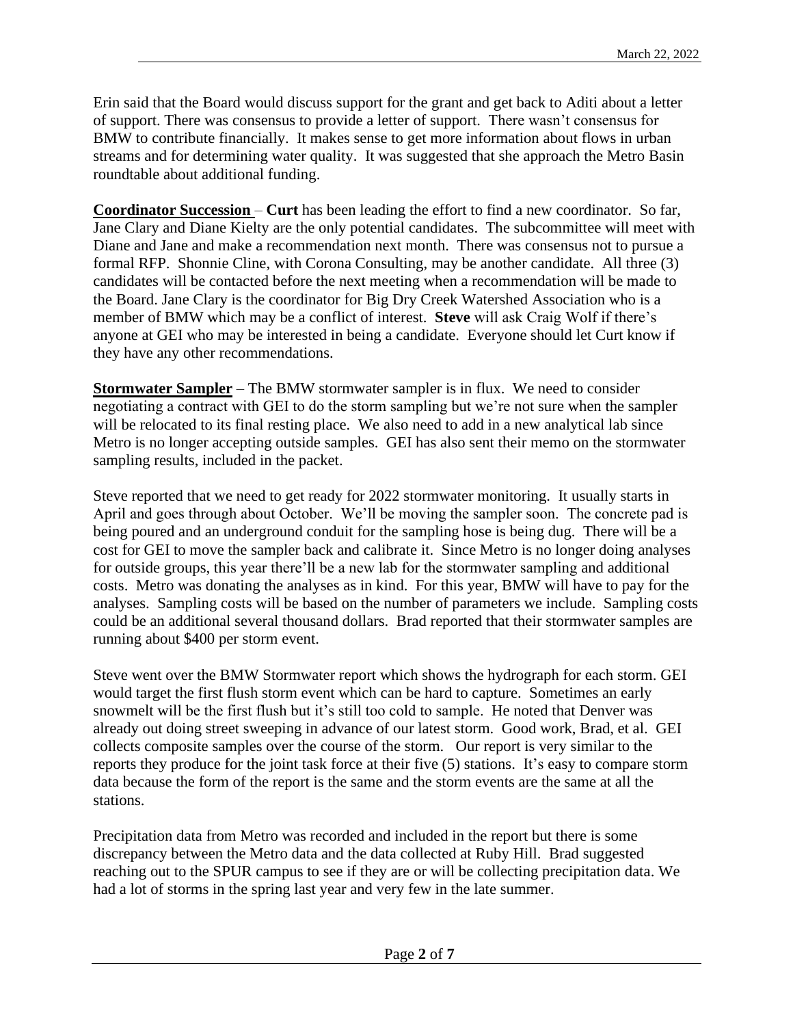Erin said that the Board would discuss support for the grant and get back to Aditi about a letter of support. There was consensus to provide a letter of support. There wasn't consensus for BMW to contribute financially. It makes sense to get more information about flows in urban streams and for determining water quality. It was suggested that she approach the Metro Basin roundtable about additional funding.

**Coordinator Succession** – **Curt** has been leading the effort to find a new coordinator. So far, Jane Clary and Diane Kielty are the only potential candidates. The subcommittee will meet with Diane and Jane and make a recommendation next month. There was consensus not to pursue a formal RFP. Shonnie Cline, with Corona Consulting, may be another candidate. All three (3) candidates will be contacted before the next meeting when a recommendation will be made to the Board. Jane Clary is the coordinator for Big Dry Creek Watershed Association who is a member of BMW which may be a conflict of interest. **Steve** will ask Craig Wolf if there's anyone at GEI who may be interested in being a candidate. Everyone should let Curt know if they have any other recommendations.

**Stormwater Sampler** – The BMW stormwater sampler is in flux. We need to consider negotiating a contract with GEI to do the storm sampling but we're not sure when the sampler will be relocated to its final resting place. We also need to add in a new analytical lab since Metro is no longer accepting outside samples. GEI has also sent their memo on the stormwater sampling results, included in the packet.

Steve reported that we need to get ready for 2022 stormwater monitoring. It usually starts in April and goes through about October. We'll be moving the sampler soon. The concrete pad is being poured and an underground conduit for the sampling hose is being dug. There will be a cost for GEI to move the sampler back and calibrate it. Since Metro is no longer doing analyses for outside groups, this year there'll be a new lab for the stormwater sampling and additional costs. Metro was donating the analyses as in kind. For this year, BMW will have to pay for the analyses. Sampling costs will be based on the number of parameters we include. Sampling costs could be an additional several thousand dollars. Brad reported that their stormwater samples are running about \$400 per storm event.

Steve went over the BMW Stormwater report which shows the hydrograph for each storm. GEI would target the first flush storm event which can be hard to capture. Sometimes an early snowmelt will be the first flush but it's still too cold to sample. He noted that Denver was already out doing street sweeping in advance of our latest storm. Good work, Brad, et al. GEI collects composite samples over the course of the storm. Our report is very similar to the reports they produce for the joint task force at their five (5) stations. It's easy to compare storm data because the form of the report is the same and the storm events are the same at all the stations.

Precipitation data from Metro was recorded and included in the report but there is some discrepancy between the Metro data and the data collected at Ruby Hill. Brad suggested reaching out to the SPUR campus to see if they are or will be collecting precipitation data. We had a lot of storms in the spring last year and very few in the late summer.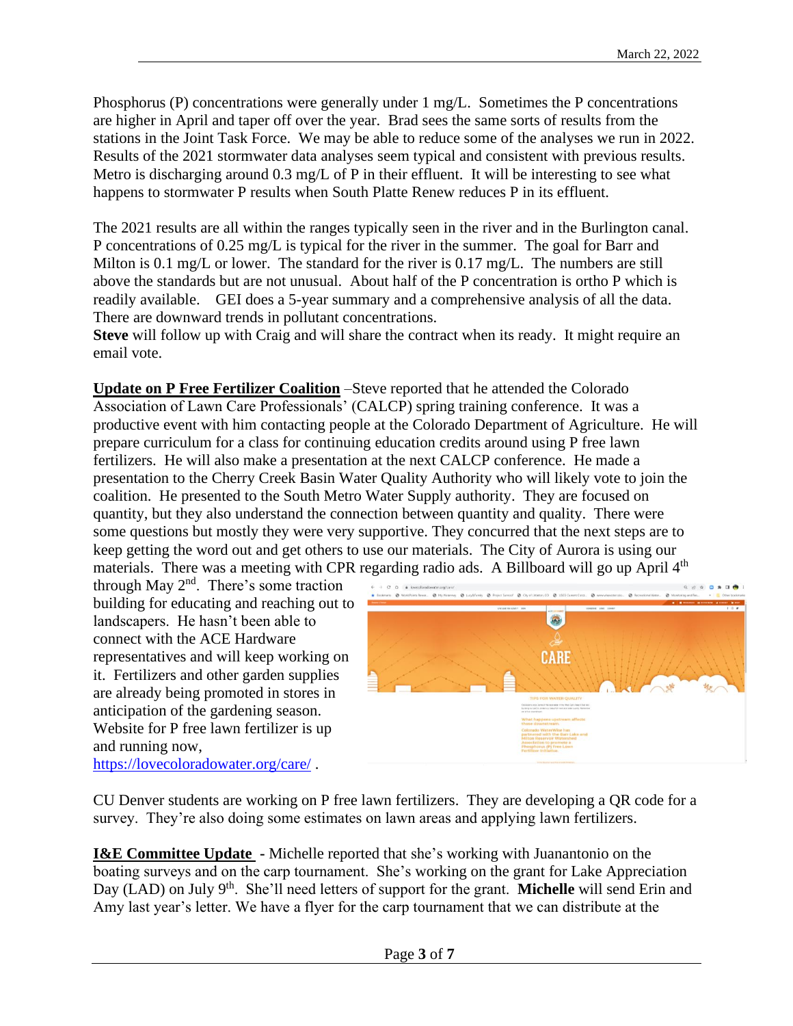Phosphorus (P) concentrations were generally under 1 mg/L. Sometimes the P concentrations are higher in April and taper off over the year. Brad sees the same sorts of results from the stations in the Joint Task Force. We may be able to reduce some of the analyses we run in 2022. Results of the 2021 stormwater data analyses seem typical and consistent with previous results. Metro is discharging around 0.3 mg/L of P in their effluent. It will be interesting to see what happens to stormwater P results when South Platte Renew reduces P in its effluent.

The 2021 results are all within the ranges typically seen in the river and in the Burlington canal. P concentrations of 0.25 mg/L is typical for the river in the summer. The goal for Barr and Milton is 0.1 mg/L or lower. The standard for the river is 0.17 mg/L. The numbers are still above the standards but are not unusual. About half of the P concentration is ortho P which is readily available. GEI does a 5-year summary and a comprehensive analysis of all the data. There are downward trends in pollutant concentrations.

**Steve** will follow up with Craig and will share the contract when its ready. It might require an email vote.

**Update on P Free Fertilizer Coalition** –Steve reported that he attended the Colorado Association of Lawn Care Professionals' (CALCP) spring training conference. It was a productive event with him contacting people at the Colorado Department of Agriculture. He will prepare curriculum for a class for continuing education credits around using P free lawn fertilizers. He will also make a presentation at the next CALCP conference. He made a presentation to the Cherry Creek Basin Water Quality Authority who will likely vote to join the coalition. He presented to the South Metro Water Supply authority. They are focused on quantity, but they also understand the connection between quantity and quality. There were some questions but mostly they were very supportive. They concurred that the next steps are to keep getting the word out and get others to use our materials. The City of Aurora is using our materials. There was a meeting with CPR regarding radio ads. A Billboard will go up April 4<sup>th</sup>

through May  $2<sup>nd</sup>$ . There's some traction building for educating and reaching out to landscapers. He hasn't been able to connect with the ACE Hardware representatives and will keep working on it. Fertilizers and other garden supplies are already being promoted in stores in anticipation of the gardening season. Website for P free lawn fertilizer is up and running now,



<https://lovecoloradowater.org/care/> .

CU Denver students are working on P free lawn fertilizers. They are developing a QR code for a survey. They're also doing some estimates on lawn areas and applying lawn fertilizers.

**I&E Committee Update -** Michelle reported that she's working with Juanantonio on the boating surveys and on the carp tournament. She's working on the grant for Lake Appreciation Day (LAD) on July 9<sup>th</sup>. She'll need letters of support for the grant. **Michelle** will send Erin and Amy last year's letter. We have a flyer for the carp tournament that we can distribute at the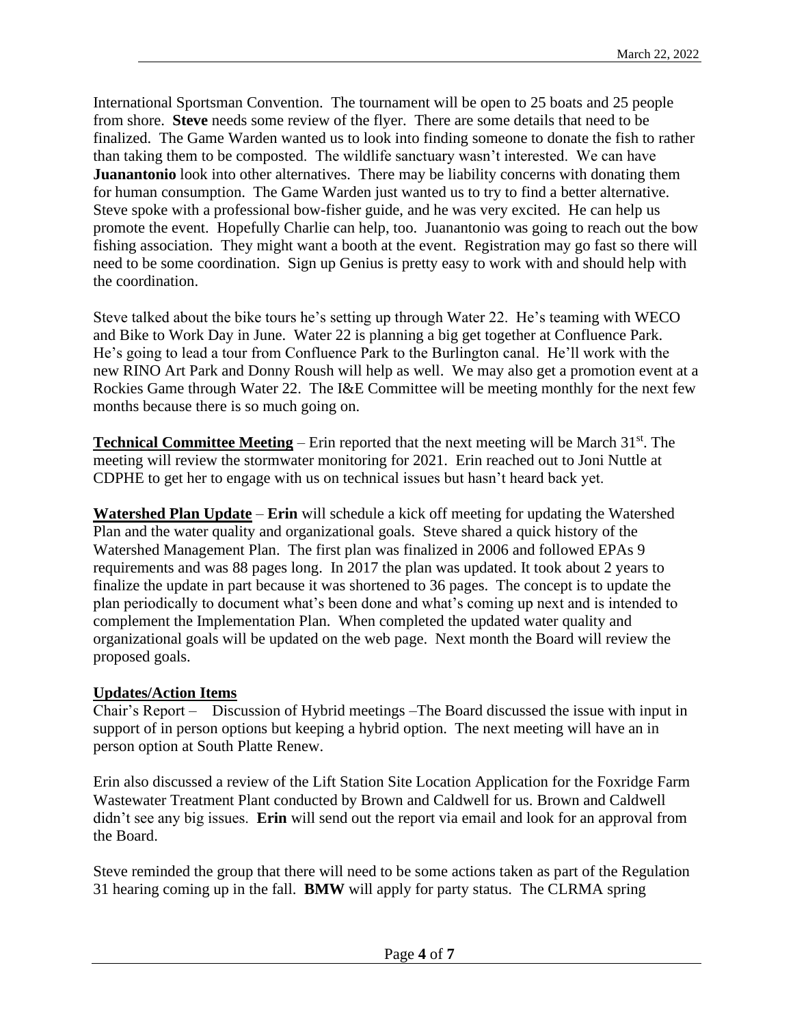International Sportsman Convention. The tournament will be open to 25 boats and 25 people from shore. **Steve** needs some review of the flyer. There are some details that need to be finalized. The Game Warden wanted us to look into finding someone to donate the fish to rather than taking them to be composted. The wildlife sanctuary wasn't interested. We can have **Juanantonio** look into other alternatives. There may be liability concerns with donating them for human consumption. The Game Warden just wanted us to try to find a better alternative. Steve spoke with a professional bow-fisher guide, and he was very excited. He can help us promote the event. Hopefully Charlie can help, too. Juanantonio was going to reach out the bow fishing association. They might want a booth at the event. Registration may go fast so there will need to be some coordination. Sign up Genius is pretty easy to work with and should help with the coordination.

Steve talked about the bike tours he's setting up through Water 22. He's teaming with WECO and Bike to Work Day in June. Water 22 is planning a big get together at Confluence Park. He's going to lead a tour from Confluence Park to the Burlington canal. He'll work with the new RINO Art Park and Donny Roush will help as well. We may also get a promotion event at a Rockies Game through Water 22. The I&E Committee will be meeting monthly for the next few months because there is so much going on.

**Technical Committee Meeting** – Erin reported that the next meeting will be March  $31<sup>st</sup>$ . The meeting will review the stormwater monitoring for 2021. Erin reached out to Joni Nuttle at CDPHE to get her to engage with us on technical issues but hasn't heard back yet.

**Watershed Plan Update** – **Erin** will schedule a kick off meeting for updating the Watershed Plan and the water quality and organizational goals. Steve shared a quick history of the Watershed Management Plan. The first plan was finalized in 2006 and followed EPAs 9 requirements and was 88 pages long. In 2017 the plan was updated. It took about 2 years to finalize the update in part because it was shortened to 36 pages. The concept is to update the plan periodically to document what's been done and what's coming up next and is intended to complement the Implementation Plan. When completed the updated water quality and organizational goals will be updated on the web page. Next month the Board will review the proposed goals.

# **Updates/Action Items**

Chair's Report – Discussion of Hybrid meetings –The Board discussed the issue with input in support of in person options but keeping a hybrid option. The next meeting will have an in person option at South Platte Renew.

Erin also discussed a review of the Lift Station Site Location Application for the Foxridge Farm Wastewater Treatment Plant conducted by Brown and Caldwell for us. Brown and Caldwell didn't see any big issues. **Erin** will send out the report via email and look for an approval from the Board.

Steve reminded the group that there will need to be some actions taken as part of the Regulation 31 hearing coming up in the fall. **BMW** will apply for party status. The CLRMA spring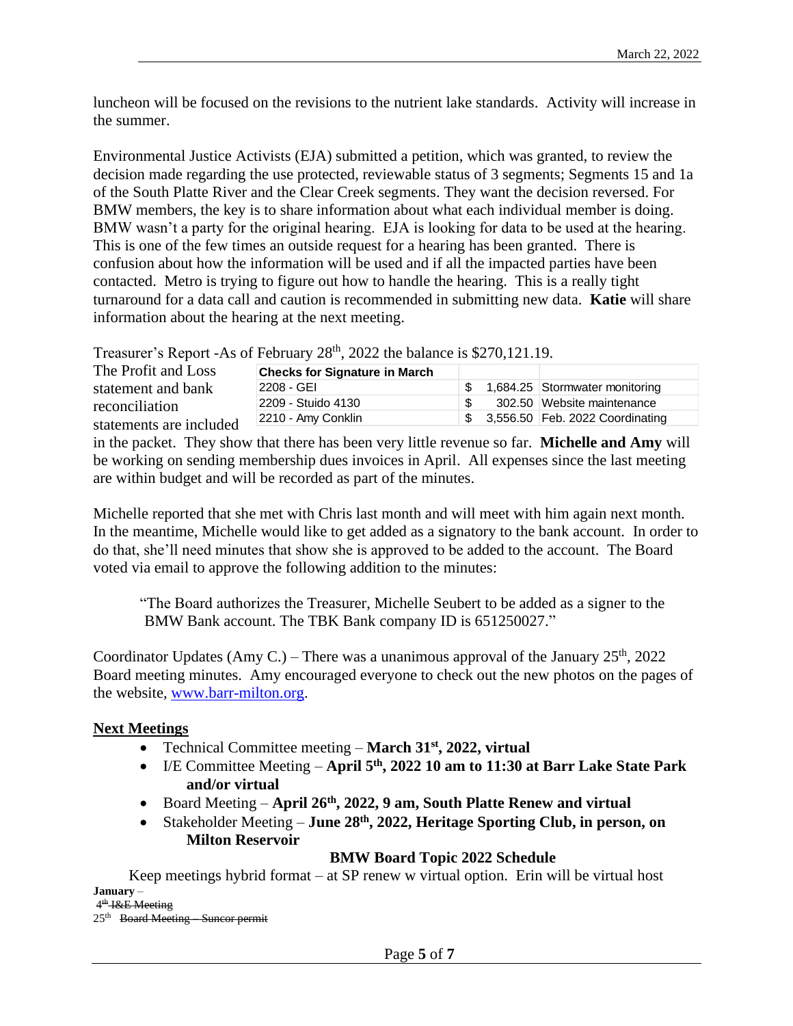luncheon will be focused on the revisions to the nutrient lake standards. Activity will increase in the summer.

Environmental Justice Activists (EJA) submitted a petition, which was granted, to review the decision made regarding the use protected, reviewable status of 3 segments; Segments 15 and 1a of the South Platte River and the Clear Creek segments. They want the decision reversed. For BMW members, the key is to share information about what each individual member is doing. BMW wasn't a party for the original hearing. EJA is looking for data to be used at the hearing. This is one of the few times an outside request for a hearing has been granted. There is confusion about how the information will be used and if all the impacted parties have been contacted. Metro is trying to figure out how to handle the hearing. This is a really tight turnaround for a data call and caution is recommended in submitting new data. **Katie** will share information about the hearing at the next meeting.

Treasurer's Report -As of February 28<sup>th</sup>, 2022 the balance is \$270,121.19.

| The Profit and Loss                                             | <b>Checks for Signature in March</b> |      |                                 |
|-----------------------------------------------------------------|--------------------------------------|------|---------------------------------|
| statement and bank<br>reconciliation<br>statements are included | 2208 - GEI                           |      | 1,684.25 Stormwater monitoring  |
|                                                                 | 2209 - Stuido 4130                   |      | 302.50 Website maintenance      |
|                                                                 | 2210 - Amy Conklin                   | - SS | 3,556.50 Feb. 2022 Coordinating |
|                                                                 |                                      |      |                                 |

in the packet. They show that there has been very little revenue so far. **Michelle and Amy** will be working on sending membership dues invoices in April. All expenses since the last meeting are within budget and will be recorded as part of the minutes.

Michelle reported that she met with Chris last month and will meet with him again next month. In the meantime, Michelle would like to get added as a signatory to the bank account. In order to do that, she'll need minutes that show she is approved to be added to the account. The Board voted via email to approve the following addition to the minutes:

"The Board authorizes the Treasurer, Michelle Seubert to be added as a signer to the BMW Bank account. The TBK Bank company ID is 651250027."

Coordinator Updates (Amy C.) – There was a unanimous approval of the January  $25<sup>th</sup>$ , 2022 Board meeting minutes. Amy encouraged everyone to check out the new photos on the pages of the website, [www.barr-milton.org.](http://www.barr-milton.org/)

# **Next Meetings**

- Technical Committee meeting **March 31st, 2022, virtual**
- I/E Committee Meeting **April 5th, 2022 10 am to 11:30 at Barr Lake State Park and/or virtual**
- Board Meeting **April 26th, 2022, 9 am, South Platte Renew and virtual**
- Stakeholder Meeting **June 28th, 2022, Heritage Sporting Club, in person, on Milton Reservoir**

**BMW Board Topic 2022 Schedule** 

Keep meetings hybrid format – at SP renew w virtual option. Erin will be virtual host **January** –

4<sup>th</sup> I&E Meeting 25<sup>th</sup> Board Meeting Suncor permit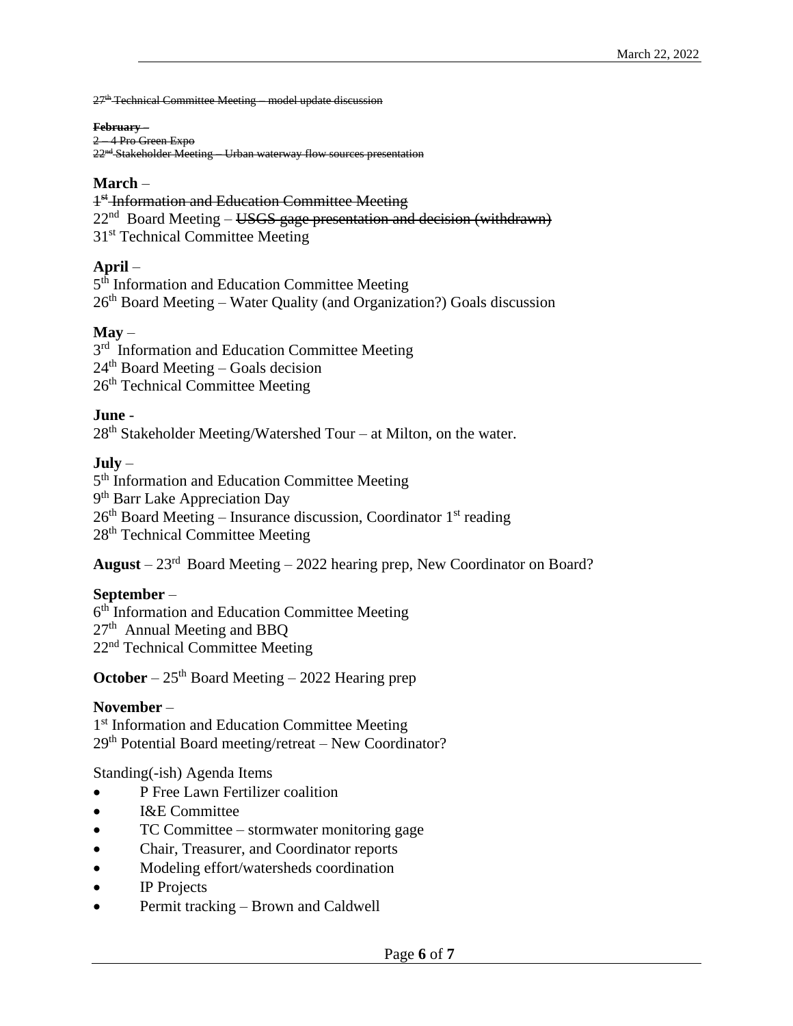27<sup>th</sup> Technical Committee Meeting – model update discussion

#### **February** –

2 – 4 Pro Green Expo 22nd Stakeholder Meeting – Urban waterway flow sources presentation

#### **March** –

<sup>1st</sup> Information and Education Committee Meeting 22<sup>nd</sup> Board Meeting – USGS gage presentation and decision (withdrawn) 31<sup>st</sup> Technical Committee Meeting

# **April** –

5<sup>th</sup> Information and Education Committee Meeting  $26<sup>th</sup>$  Board Meeting – Water Quality (and Organization?) Goals discussion

### **May** –

3<sup>rd</sup> Information and Education Committee Meeting  $24<sup>th</sup>$  Board Meeting – Goals decision 26<sup>th</sup> Technical Committee Meeting

### **June** -

 $28<sup>th</sup>$  Stakeholder Meeting/Watershed Tour – at Milton, on the water.

# **July** –

5<sup>th</sup> Information and Education Committee Meeting 9<sup>th</sup> Barr Lake Appreciation Day 26th Board Meeting – Insurance discussion, Coordinator 1st reading 28<sup>th</sup> Technical Committee Meeting

**August** – 23rd Board Meeting – 2022 hearing prep, New Coordinator on Board?

# **September** –

6<sup>th</sup> Information and Education Committee Meeting 27<sup>th</sup> Annual Meeting and BBQ 22nd Technical Committee Meeting

**October** – 25<sup>th</sup> Board Meeting – 2022 Hearing prep

#### **November** –

1<sup>st</sup> Information and Education Committee Meeting 29th Potential Board meeting/retreat – New Coordinator?

# Standing(-ish) Agenda Items

- P Free Lawn Fertilizer coalition
- **I&E** Committee
- TC Committee stormwater monitoring gage
- Chair, Treasurer, and Coordinator reports
- Modeling effort/watersheds coordination
- IP Projects
- Permit tracking Brown and Caldwell